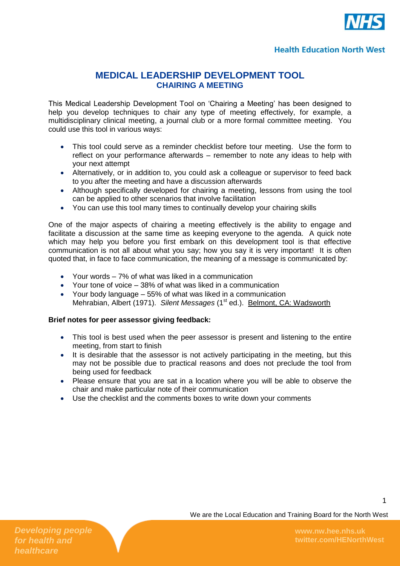

## **MEDICAL LEADERSHIP DEVELOPMENT TOOL CHAIRING A MEETING**

This Medical Leadership Development Tool on 'Chairing a Meeting' has been designed to help you develop techniques to chair any type of meeting effectively, for example, a multidisciplinary clinical meeting, a journal club or a more formal committee meeting. You could use this tool in various ways:

- This tool could serve as a reminder checklist before tour meeting. Use the form to reflect on your performance afterwards – remember to note any ideas to help with your next attempt
- Alternatively, or in addition to, you could ask a colleague or supervisor to feed back to you after the meeting and have a discussion afterwards
- Although specifically developed for chairing a meeting, lessons from using the tool can be applied to other scenarios that involve facilitation
- You can use this tool many times to continually develop your chairing skills

One of the major aspects of chairing a meeting effectively is the ability to engage and facilitate a discussion at the same time as keeping everyone to the agenda. A quick note which may help you before you first embark on this development tool is that effective communication is not all about what you say; how you say it is very important! It is often quoted that, in face to face communication, the meaning of a message is communicated by:

- Your words 7% of what was liked in a communication
- Your tone of voice 38% of what was liked in a communication
- Your body language 55% of what was liked in a communication Mehrabian, Albert (1971). *Silent Messages* (1<sup>st</sup> ed.). Belmont, CA: Wadsworth

#### **Brief notes for peer assessor giving feedback:**

- This tool is best used when the peer assessor is present and listening to the entire meeting, from start to finish
- It is desirable that the assessor is not actively participating in the meeting, but this may not be possible due to practical reasons and does not preclude the tool from being used for feedback
- Please ensure that you are sat in a location where you will be able to observe the chair and make particular note of their communication
- Use the checklist and the comments boxes to write down your comments

1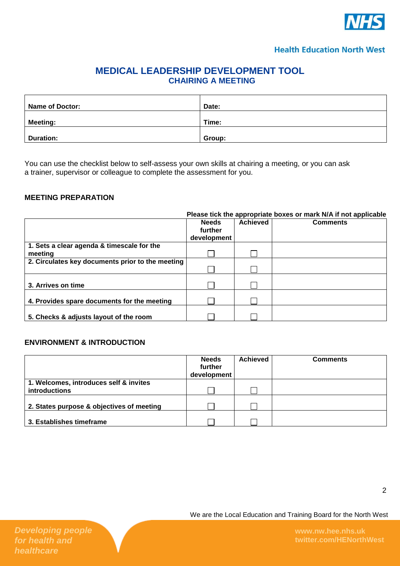

# **MEDICAL LEADERSHIP DEVELOPMENT TOOL CHAIRING A MEETING**

| <b>Name of Doctor:</b> | Date:  |
|------------------------|--------|
| <b>Meeting:</b>        | Time:  |
| <b>Duration:</b>       | Group: |

You can use the checklist below to self-assess your own skills at chairing a meeting, or you can ask a trainer, supervisor or colleague to complete the assessment for you.

## **MEETING PREPARATION**

|                                                  | Please tick the appropriate boxes or mark N/A if not applicable |          |                 |  |
|--------------------------------------------------|-----------------------------------------------------------------|----------|-----------------|--|
|                                                  | <b>Needs</b><br>further<br>development                          | Achieved | <b>Comments</b> |  |
| 1. Sets a clear agenda & timescale for the       |                                                                 |          |                 |  |
| meeting                                          |                                                                 |          |                 |  |
| 2. Circulates key documents prior to the meeting |                                                                 |          |                 |  |
|                                                  |                                                                 |          |                 |  |
|                                                  |                                                                 |          |                 |  |
| 3. Arrives on time                               |                                                                 |          |                 |  |
|                                                  |                                                                 |          |                 |  |
| 4. Provides spare documents for the meeting      |                                                                 |          |                 |  |
| 5. Checks & adjusts layout of the room           |                                                                 |          |                 |  |

### **ENVIRONMENT & INTRODUCTION**

|                                                                | <b>Needs</b><br>further<br>development | <b>Achieved</b> | <b>Comments</b> |
|----------------------------------------------------------------|----------------------------------------|-----------------|-----------------|
| 1. Welcomes, introduces self & invites<br><b>introductions</b> |                                        |                 |                 |
| 2. States purpose & objectives of meeting                      |                                        |                 |                 |
| 3. Establishes timeframe                                       |                                        |                 |                 |

We are the Local Education and Training Board for the North West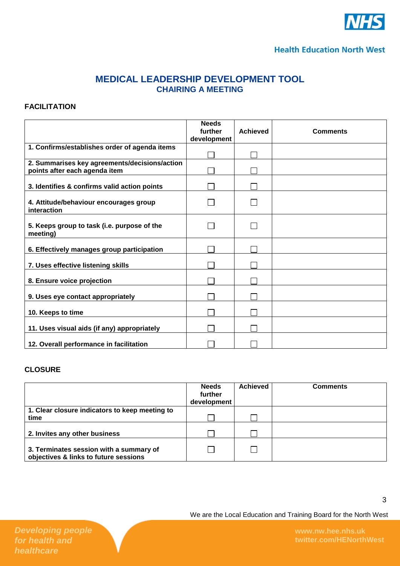

# **MEDICAL LEADERSHIP DEVELOPMENT TOOL CHAIRING A MEETING**

#### **FACILITATION**

|                                                                                | <b>Needs</b><br>further<br>development | <b>Achieved</b> | <b>Comments</b> |
|--------------------------------------------------------------------------------|----------------------------------------|-----------------|-----------------|
| 1. Confirms/establishes order of agenda items                                  |                                        |                 |                 |
| 2. Summarises key agreements/decisions/action<br>points after each agenda item |                                        |                 |                 |
| 3. Identifies & confirms valid action points                                   |                                        |                 |                 |
| 4. Attitude/behaviour encourages group<br>interaction                          |                                        |                 |                 |
| 5. Keeps group to task (i.e. purpose of the<br>meeting)                        |                                        |                 |                 |
| 6. Effectively manages group participation                                     |                                        |                 |                 |
| 7. Uses effective listening skills                                             |                                        |                 |                 |
| 8. Ensure voice projection                                                     |                                        |                 |                 |
| 9. Uses eye contact appropriately                                              |                                        |                 |                 |
| 10. Keeps to time                                                              |                                        |                 |                 |
| 11. Uses visual aids (if any) appropriately                                    |                                        |                 |                 |
| 12. Overall performance in facilitation                                        |                                        |                 |                 |

#### **CLOSURE**

|                                                                                  | <b>Needs</b><br>further<br>development | Achieved | <b>Comments</b> |
|----------------------------------------------------------------------------------|----------------------------------------|----------|-----------------|
| 1. Clear closure indicators to keep meeting to<br>time                           |                                        |          |                 |
| 2. Invites any other business                                                    |                                        |          |                 |
| 3. Terminates session with a summary of<br>objectives & links to future sessions |                                        |          |                 |

We are the Local Education and Training Board for the North West

3